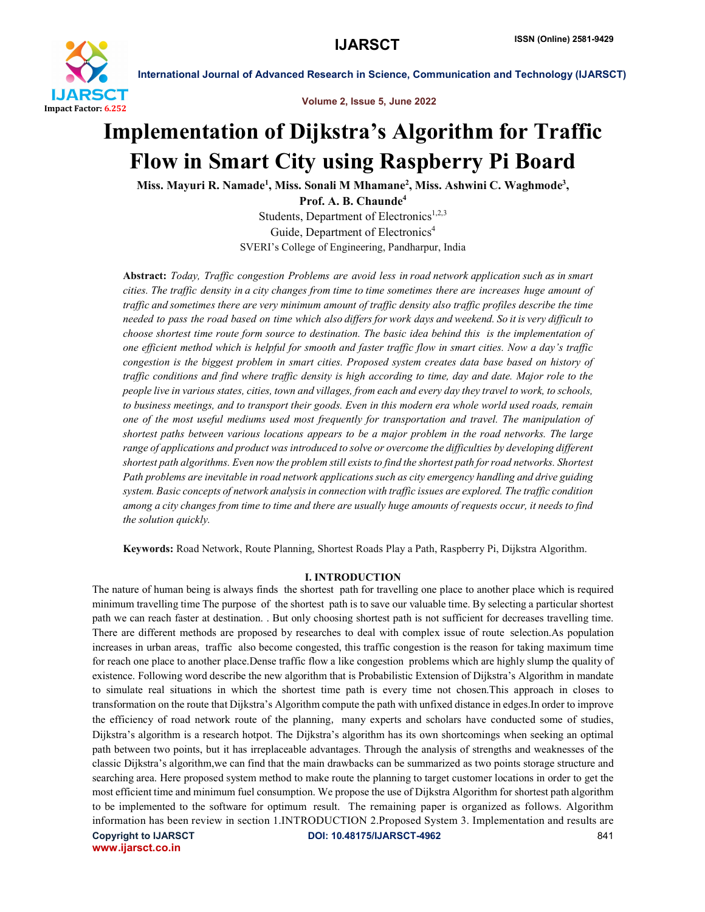

Volume 2, Issue 5, June 2022

# Implementation of Dijkstra's Algorithm for Traffic Flow in Smart City using Raspberry Pi Board

Miss. Mayuri R. Namade<sup>1</sup>, Miss. Sonali M Mhamane<sup>2</sup>, Miss. Ashwini C. Waghmode<sup>3</sup>,

Prof. A. B. Chaunde4 Students, Department of Electronics<sup>1,2,3</sup> Guide, Department of Electronics<sup>4</sup> SVERI's College of Engineering, Pandharpur, India

Abstract: *Today, Traffic congestion Problems are avoid less in road network application such as in smart cities. The traffic density in a city changes from time to time sometimes there are increases huge amount of traffic and sometimes there are very minimum amount of traffic density also traffic profiles describe the time needed to pass the road based on time which also differs for work days and weekend. So it is very difficult to choose shortest time route form source to destination. The basic idea behind this is the implementation of one efficient method which is helpful for smooth and faster traffic flow in smart cities. Now a day's traffic congestion is the biggest problem in smart cities. Proposed system creates data base based on history of traffic conditions and find where traffic density is high according to time, day and date. Major role to the people live in various states, cities, town and villages, from each and every day they travel to work, to schools, to business meetings, and to transport their goods. Even in this modern era whole world used roads, remain one of the most useful mediums used most frequently for transportation and travel. The manipulation of shortest paths between various locations appears to be a major problem in the road networks. The large range of applications and product was introduced to solve or overcome the difficulties by developing different shortest path algorithms. Even now the problem still exists to find the shortest path for road networks. Shortest Path problems are inevitable in road network applications such as city emergency handling and drive guiding system. Basic concepts of network analysis in connection with traffic issues are explored. The traffic condition among a city changes from time to time and there are usually huge amounts of requests occur, it needs to find the solution quickly.*

Keywords: Road Network, Route Planning, Shortest Roads Play a Path, Raspberry Pi, Dijkstra Algorithm.

# I. INTRODUCTION

Copyright to IJARSCT DOI: 10.48175/IJARSCT-4962 841 www.ijarsct.co.in The nature of human being is always finds the shortest path for travelling one place to another place which is required minimum travelling time The purpose of the shortest path is to save our valuable time. By selecting a particular shortest path we can reach faster at destination. . But only choosing shortest path is not sufficient for decreases travelling time. There are different methods are proposed by researches to deal with complex issue of route selection.As population increases in urban areas, traffic also become congested, this traffic congestion is the reason for taking maximum time for reach one place to another place.Dense traffic flow a like congestion problems which are highly slump the quality of existence. Following word describe the new algorithm that is Probabilistic Extension of Dijkstra's Algorithm in mandate to simulate real situations in which the shortest time path is every time not chosen.This approach in closes to transformation on the route that Dijkstra's Algorithm compute the path with unfixed distance in edges.In order to improve the efficiency of road network route of the planning, many experts and scholars have conducted some of studies, Dijkstra's algorithm is a research hotpot. The Dijkstra's algorithm has its own shortcomings when seeking an optimal path between two points, but it has irreplaceable advantages. Through the analysis of strengths and weaknesses of the classic Dijkstra's algorithm,we can find that the main drawbacks can be summarized as two points storage structure and searching area. Here proposed system method to make route the planning to target customer locations in order to get the most efficient time and minimum fuel consumption. We propose the use of Dijkstra Algorithm for shortest path algorithm to be implemented to the software for optimum result. The remaining paper is organized as follows. Algorithm information has been review in section 1.INTRODUCTION 2.Proposed System 3. Implementation and results are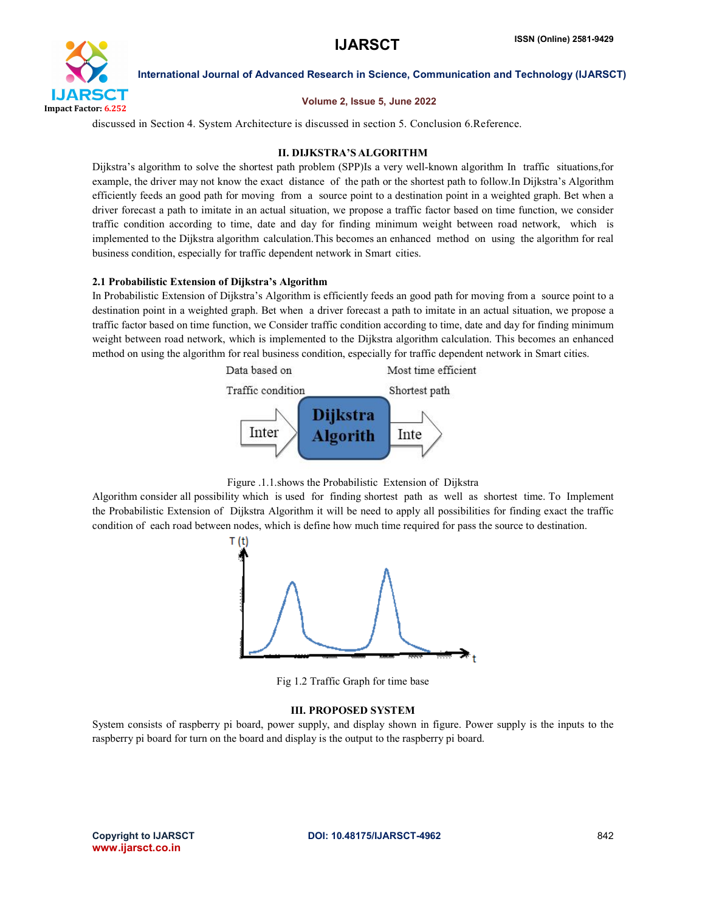

#### Volume 2, Issue 5, June 2022

discussed in Section 4. System Architecture is discussed in section 5. Conclusion 6.Reference.

### II. DIJKSTRA'S ALGORITHM

Dijkstra's algorithm to solve the shortest path problem (SPP)Is a very well-known algorithm In traffic situations,for example, the driver may not know the exact distance of the path or the shortest path to follow.In Dijkstra's Algorithm efficiently feeds an good path for moving from a source point to a destination point in a weighted graph. Bet when a driver forecast a path to imitate in an actual situation, we propose a traffic factor based on time function, we consider traffic condition according to time, date and day for finding minimum weight between road network, which is implemented to the Dijkstra algorithm calculation.This becomes an enhanced method on using the algorithm for real business condition, especially for traffic dependent network in Smart cities.

### 2.1 Probabilistic Extension of Dijkstra's Algorithm

In Probabilistic Extension of Dijkstra's Algorithm is efficiently feeds an good path for moving from a source point to a destination point in a weighted graph. Bet when a driver forecast a path to imitate in an actual situation, we propose a traffic factor based on time function, we Consider traffic condition according to time, date and day for finding minimum weight between road network, which is implemented to the Dijkstra algorithm calculation. This becomes an enhanced method on using the algorithm for real business condition, especially for traffic dependent network in Smart cities.





Algorithm consider all possibility which is used for finding shortest path as well as shortest time. To Implement the Probabilistic Extension of Dijkstra Algorithm it will be need to apply all possibilities for finding exact the traffic condition of each road between nodes, which is define how much time required for pass the source to destination.



Fig 1.2 Traffic Graph for time base

# III. PROPOSED SYSTEM

System consists of raspberry pi board, power supply, and display shown in figure. Power supply is the inputs to the raspberry pi board for turn on the board and display is the output to the raspberry pi board.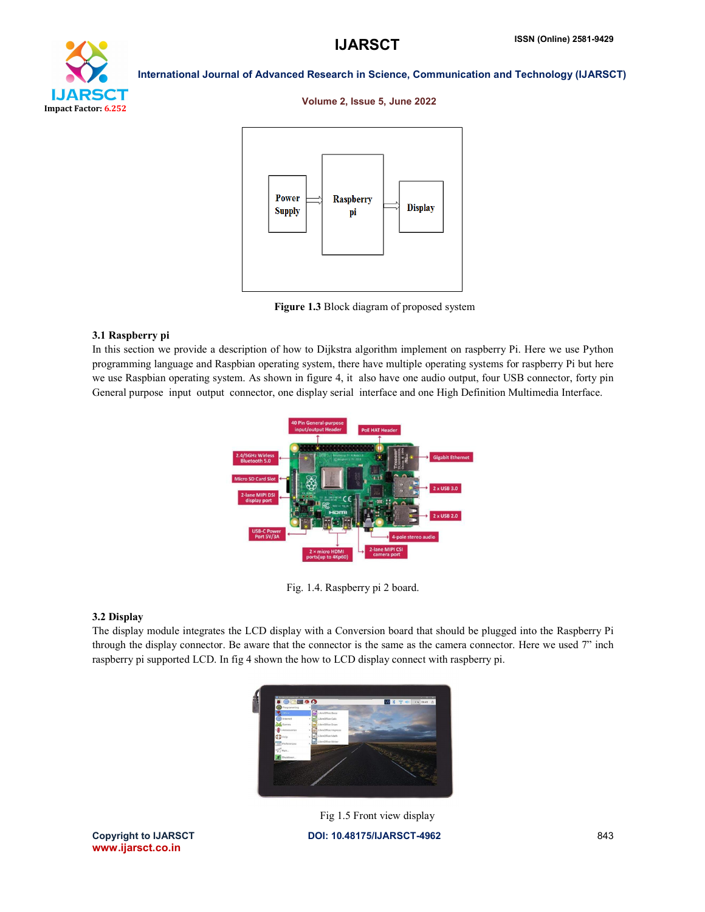

#### Volume 2, Issue 5, June 2022



Figure 1.3 Block diagram of proposed system

#### 3.1 Raspberry pi

In this section we provide a description of how to Dijkstra algorithm implement on raspberry Pi. Here we use Python programming language and Raspbian operating system, there have multiple operating systems for raspberry Pi but here we use Raspbian operating system. As shown in figure 4, it also have one audio output, four USB connector, forty pin General purpose input output connector, one display serial interface and one High Definition Multimedia Interface.



Fig. 1.4. Raspberry pi 2 board.

#### 3.2 Display

The display module integrates the LCD display with a Conversion board that should be plugged into the Raspberry Pi through the display connector. Be aware that the connector is the same as the camera connector. Here we used 7" inch raspberry pi supported LCD. In fig 4 shown the how to LCD display connect with raspberry pi.



Copyright to IJARSCT DOI: 10.48175/IJARSCT-4962 843 Fig 1.5 Front view display

www.ijarsct.co.in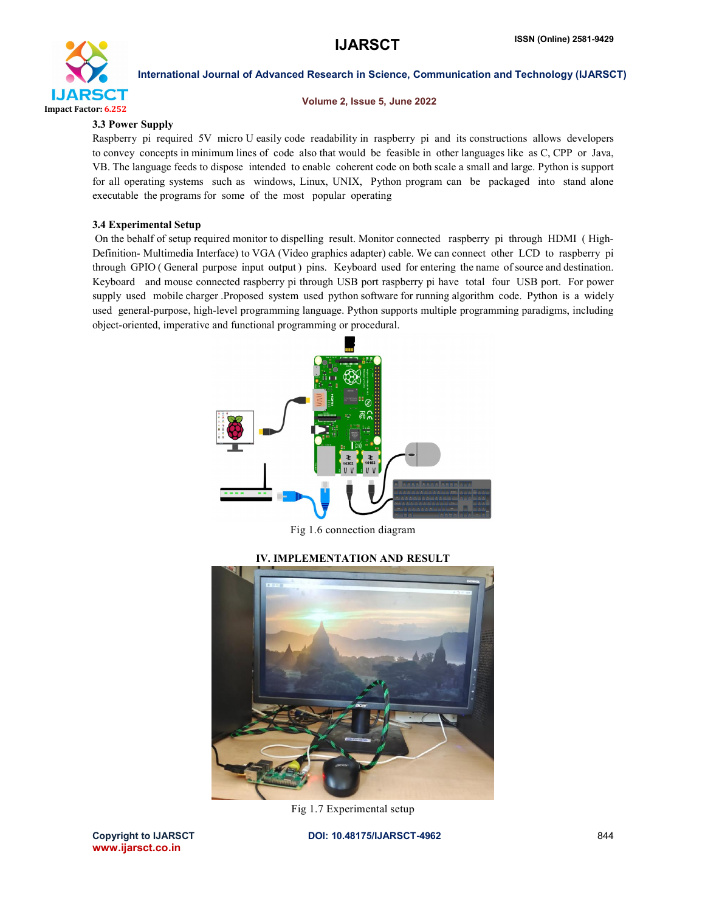

#### Volume 2, Issue 5, June 2022

#### 3.3 Power Supply

Raspberry pi required 5V micro U easily code readability in raspberry pi and its constructions allows developers to convey concepts in minimum lines of code also that would be feasible in other languages like as C, CPP or Java, VB. The language feeds to dispose intended to enable coherent code on both scale a small and large. Python is support for all operating systems such as windows, Linux, UNIX, Python program can be packaged into stand alone executable the programs for some of the most popular operating

### 3.4 Experimental Setup

On the behalf of setup required monitor to dispelling result. Monitor connected raspberry pi through HDMI ( High-Definition- Multimedia Interface) to VGA (Video graphics adapter) cable. We can connect other LCD to raspberry pi through GPIO ( General purpose input output ) pins. Keyboard used for entering the name of source and destination. Keyboard and mouse connected raspberry pi through USB port raspberry pi have total four USB port. For power supply used mobile charger .Proposed system used python software for running algorithm code. Python is a widely used general-purpose, high-level programming language. Python supports multiple programming paradigms, including object-oriented, imperative and functional programming or procedural.



Fig 1.6 connection diagram

#### IV. IMPLEMENTATION AND RESULT



Fig 1.7 Experimental setup

Copyright to IJARSCT DOI: 10.48175/IJARSCT-4962 844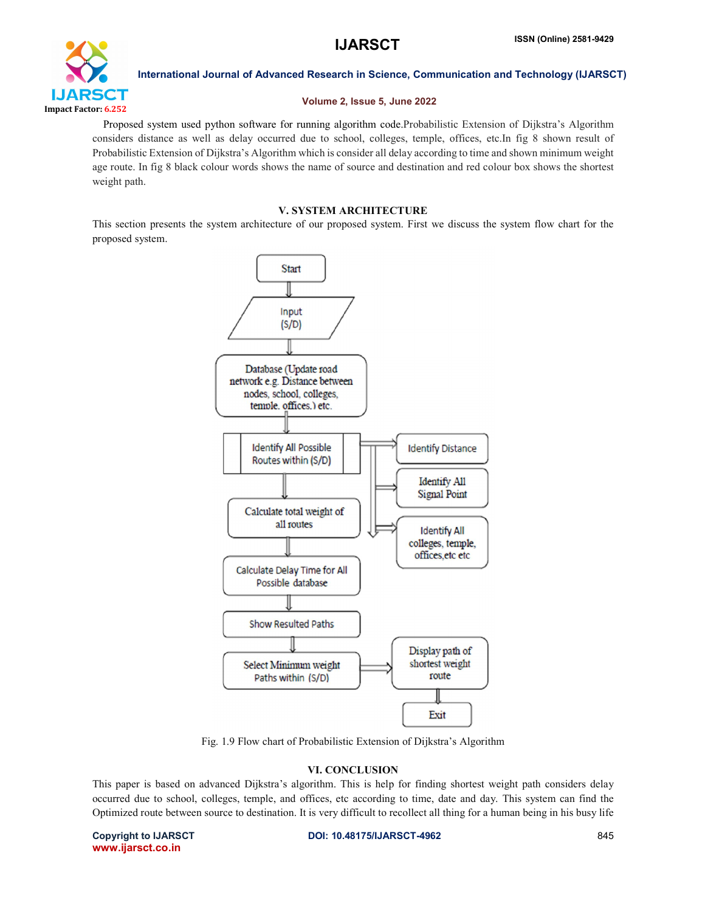

#### Volume 2, Issue 5, June 2022

Proposed system used python software for running algorithm code.Probabilistic Extension of Dijkstra's Algorithm considers distance as well as delay occurred due to school, colleges, temple, offices, etc.In fig 8 shown result of Probabilistic Extension of Dijkstra's Algorithm which is consider all delay according to time and shown minimum weight age route. In fig 8 black colour words shows the name of source and destination and red colour box shows the shortest weight path.

### V. SYSTEM ARCHITECTURE

This section presents the system architecture of our proposed system. First we discuss the system flow chart for the proposed system.



Fig. 1.9 Flow chart of Probabilistic Extension of Dijkstra's Algorithm

# VI. CONCLUSION

This paper is based on advanced Dijkstra's algorithm. This is help for finding shortest weight path considers delay occurred due to school, colleges, temple, and offices, etc according to time, date and day. This system can find the Optimized route between source to destination. It is very difficult to recollect all thing for a human being in his busy life

www.ijarsct.co.in

#### Copyright to IJARSCT **DOI: 10.48175/IJARSCT-4962** 845